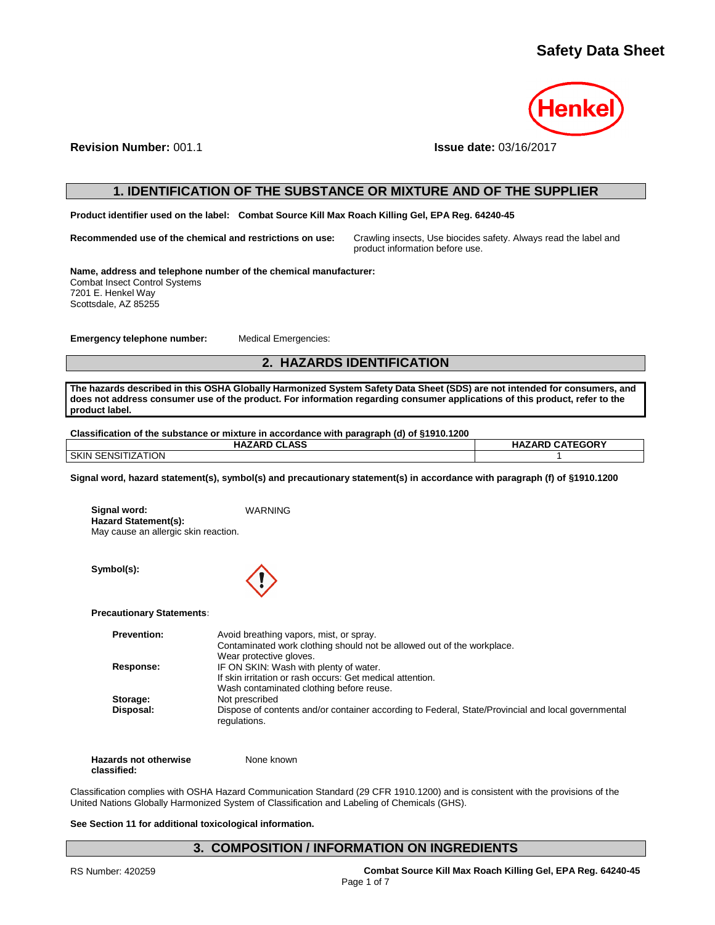

**Revision Number:** 001.1 **Issue date:** 03/16/2017

## **1. IDENTIFICATION OF THE SUBSTANCE OR MIXTURE AND OF THE SUPPLIER**

**Product identifier used on the label: Combat Source Kill Max Roach Killing Gel, EPA Reg. 64240-45**

**Recommended use of the chemical and restrictions on use:** Crawling insects, Use biocides safety. Always read the label and product information before use.

**Name, address and telephone number of the chemical manufacturer:** Combat Insect Control Systems 7201 E. Henkel Way Scottsdale, AZ 85255

**Emergency telephone number:** Medical Emergencies:

# **2. HAZARDS IDENTIFICATION**

**The hazards described in this OSHA Globally Harmonized System Safety Data Sheet (SDS) are not intended for consumers, and does not address consumer use of the product. For information regarding consumer applications of this product, refer to the product label.**

**Classification of the substance or mixture in accordance with paragraph (d) of §1910.1200**

| <b>HAZARD CLASS</b>       | <b>HAZARD CATEGORY</b> |  |
|---------------------------|------------------------|--|
| <b>SKIN SENSITIZATION</b> |                        |  |

**Signal word, hazard statement(s), symbol(s) and precautionary statement(s) in accordance with paragraph (f) of §1910.1200**

**Signal word:** WARNING **Hazard Statement(s):** May cause an allergic skin reaction.

**Symbol(s):**



**Precautionary Statements:**

| <b>Prevention:</b> | Avoid breathing vapors, mist, or spray.<br>Contaminated work clothing should not be allowed out of the workplace.  |
|--------------------|--------------------------------------------------------------------------------------------------------------------|
|                    | Wear protective gloves.                                                                                            |
| Response:          | IF ON SKIN: Wash with plenty of water.                                                                             |
|                    | If skin irritation or rash occurs: Get medical attention.                                                          |
|                    | Wash contaminated clothing before reuse.                                                                           |
| Storage:           | Not prescribed                                                                                                     |
| Disposal:          | Dispose of contents and/or container according to Federal, State/Provincial and local governmental<br>regulations. |

| <b>Hazards not otherwise</b> | None known |
|------------------------------|------------|
| classified:                  |            |

Classification complies with OSHA Hazard Communication Standard (29 CFR 1910.1200) and is consistent with the provisions of the United Nations Globally Harmonized System of Classification and Labeling of Chemicals (GHS).

### **See Section 11 for additional toxicological information.**

## **3. COMPOSITION / INFORMATION ON INGREDIENTS**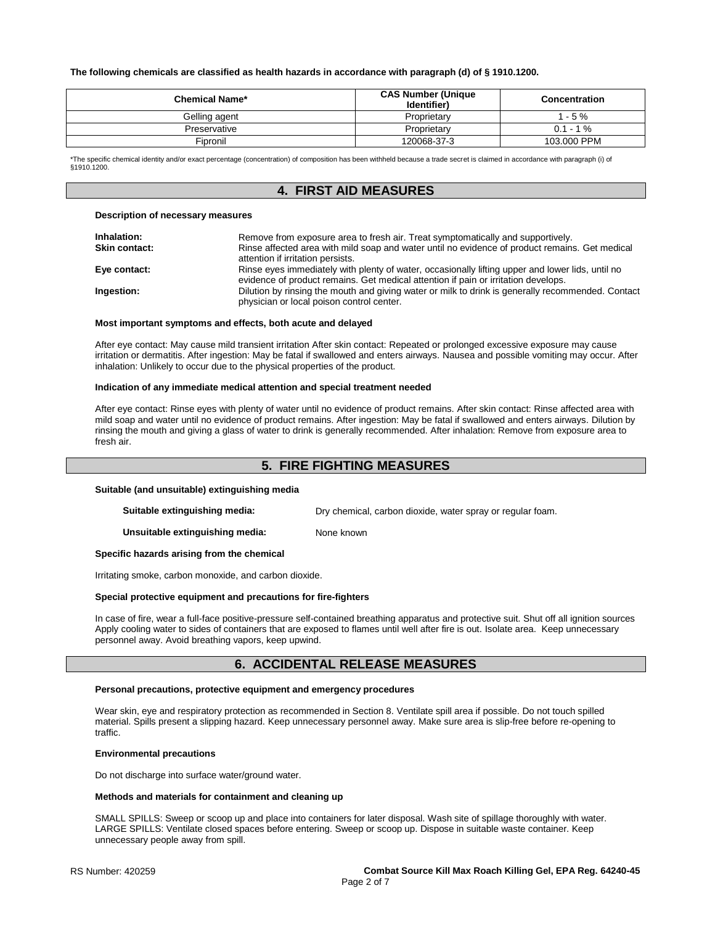#### **The following chemicals are classified as health hazards in accordance with paragraph (d) of § 1910.1200.**

| <b>Chemical Name*</b> | <b>CAS Number (Unique</b><br>(Identifier | <b>Concentration</b> |
|-----------------------|------------------------------------------|----------------------|
| Gelling agent         | Proprietary                              | $1 - 5 \%$           |
| Preservative          | Proprietary                              | $0.1 - 1\%$          |
| Fipronil              | 120068-37-3                              | 103,000 PPM          |

\*The specific chemical identity and/or exact percentage (concentration) of composition has been withheld because a trade secret is claimed in accordance with paragraph (i) of §1910.1200.

## **4. FIRST AID MEASURES**

#### **Description of necessary measures**

| Remove from exposure area to fresh air. Treat symptomatically and supportively.                                                                |
|------------------------------------------------------------------------------------------------------------------------------------------------|
| Rinse affected area with mild soap and water until no evidence of product remains. Get medical                                                 |
| attention if irritation persists.                                                                                                              |
| Rinse eyes immediately with plenty of water, occasionally lifting upper and lower lids, until no                                               |
| evidence of product remains. Get medical attention if pain or irritation develops.                                                             |
| Dilution by rinsing the mouth and giving water or milk to drink is generally recommended. Contact<br>physician or local poison control center. |
|                                                                                                                                                |

#### **Most important symptoms and effects, both acute and delayed**

After eye contact: May cause mild transient irritation After skin contact: Repeated or prolonged excessive exposure may cause irritation or dermatitis. After ingestion: May be fatal if swallowed and enters airways. Nausea and possible vomiting may occur. After inhalation: Unlikely to occur due to the physical properties of the product.

#### **Indication of any immediate medical attention and special treatment needed**

After eye contact: Rinse eyes with plenty of water until no evidence of product remains. After skin contact: Rinse affected area with mild soap and water until no evidence of product remains. After ingestion: May be fatal if swallowed and enters airways. Dilution by rinsing the mouth and giving a glass of water to drink is generally recommended. After inhalation: Remove from exposure area to fresh air.

## **5. FIRE FIGHTING MEASURES**

#### **Suitable (and unsuitable) extinguishing media**

**Suitable extinguishing media:** Dry chemical, carbon dioxide, water spray or regular foam.

**Unsuitable extinguishing media:** None known

#### **Specific hazards arising from the chemical**

Irritating smoke, carbon monoxide, and carbon dioxide.

#### **Special protective equipment and precautions for fire-fighters**

In case of fire, wear a full-face positive-pressure self-contained breathing apparatus and protective suit. Shut off all ignition sources Apply cooling water to sides of containers that are exposed to flames until well after fire is out. Isolate area. Keep unnecessary personnel away. Avoid breathing vapors, keep upwind.

## **6. ACCIDENTAL RELEASE MEASURES**

#### **Personal precautions, protective equipment and emergency procedures**

Wear skin, eye and respiratory protection as recommended in Section 8. Ventilate spill area if possible. Do not touch spilled material. Spills present a slipping hazard. Keep unnecessary personnel away. Make sure area is slip-free before re-opening to traffic.

#### **Environmental precautions**

Do not discharge into surface water/ground water.

#### **Methods and materials for containment and cleaning up**

SMALL SPILLS: Sweep or scoop up and place into containers for later disposal. Wash site of spillage thoroughly with water. LARGE SPILLS: Ventilate closed spaces before entering. Sweep or scoop up. Dispose in suitable waste container. Keep unnecessary people away from spill.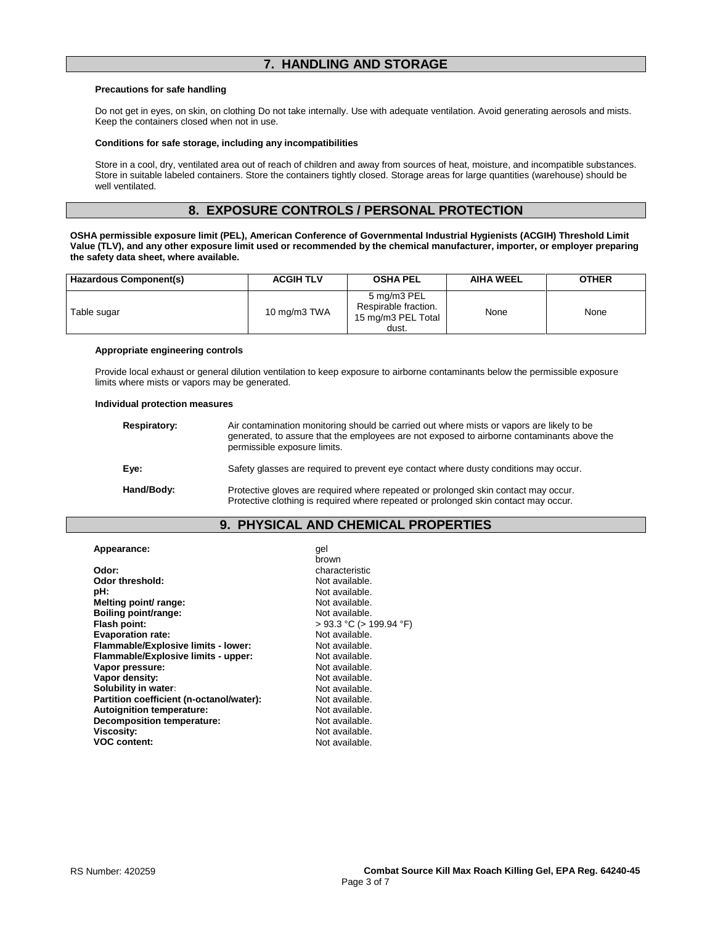# **7. HANDLING AND STORAGE**

### **Precautions for safe handling**

Do not get in eyes, on skin, on clothing Do not take internally. Use with adequate ventilation. Avoid generating aerosols and mists. Keep the containers closed when not in use.

## **Conditions for safe storage, including any incompatibilities**

Store in a cool, dry, ventilated area out of reach of children and away from sources of heat, moisture, and incompatible substances. Store in suitable labeled containers. Store the containers tightly closed. Storage areas for large quantities (warehouse) should be well ventilated.

## **8. EXPOSURE CONTROLS / PERSONAL PROTECTION**

**OSHA permissible exposure limit (PEL), American Conference of Governmental Industrial Hygienists (ACGIH) Threshold Limit Value (TLV), and any other exposure limit used or recommended by the chemical manufacturer, importer, or employer preparing the safety data sheet, where available.**

| Hazardous Component(s) | <b>ACGIH TLV</b> | OSHA PEL                                                           | <b>AIHA WEEL</b> | <b>OTHER</b> |
|------------------------|------------------|--------------------------------------------------------------------|------------------|--------------|
| Table sugar            | 10 mg/m3 TWA     | 5 mg/m3 PEL<br>Respirable fraction.<br>15 mg/m3 PEL Total<br>dust. | None             | None         |

#### **Appropriate engineering controls**

Provide local exhaust or general dilution ventilation to keep exposure to airborne contaminants below the permissible exposure limits where mists or vapors may be generated.

#### **Individual protection measures**

| Respiratory: | Air contamination monitoring should be carried out where mists or vapors are likely to be<br>generated, to assure that the employees are not exposed to airborne contaminants above the<br>permissible exposure limits. |
|--------------|-------------------------------------------------------------------------------------------------------------------------------------------------------------------------------------------------------------------------|
| Eve:         | Safety glasses are required to prevent eye contact where dusty conditions may occur.                                                                                                                                    |
| Hand/Body:   | Protective gloves are required where repeated or prolonged skin contact may occur.<br>Protective clothing is required where repeated or prolonged skin contact may occur.                                               |

# **9. PHYSICAL AND CHEMICAL PROPERTIES**

#### **Appearance:** gel

|                                          | brown                   |
|------------------------------------------|-------------------------|
| Odor:                                    | characteristic          |
| Odor threshold:                          | Not available.          |
| pH:                                      | Not available.          |
| Melting point/ range:                    | Not available.          |
| Boiling point/range:                     | Not available.          |
| Flash point:                             | > 93.3 °C (> 199.94 °F) |
| <b>Evaporation rate:</b>                 | Not available.          |
| Flammable/Explosive limits - lower:      | Not available.          |
| Flammable/Explosive limits - upper:      | Not available.          |
| Vapor pressure:                          | Not available.          |
| Vapor density:                           | Not available.          |
| Solubility in water:                     | Not available.          |
| Partition coefficient (n-octanol/water): | Not available.          |
| Autoignition temperature:                | Not available.          |
| <b>Decomposition temperature:</b>        | Not available.          |
| <b>Viscosity:</b>                        | Not available.          |
| <b>VOC content:</b>                      | Not available.          |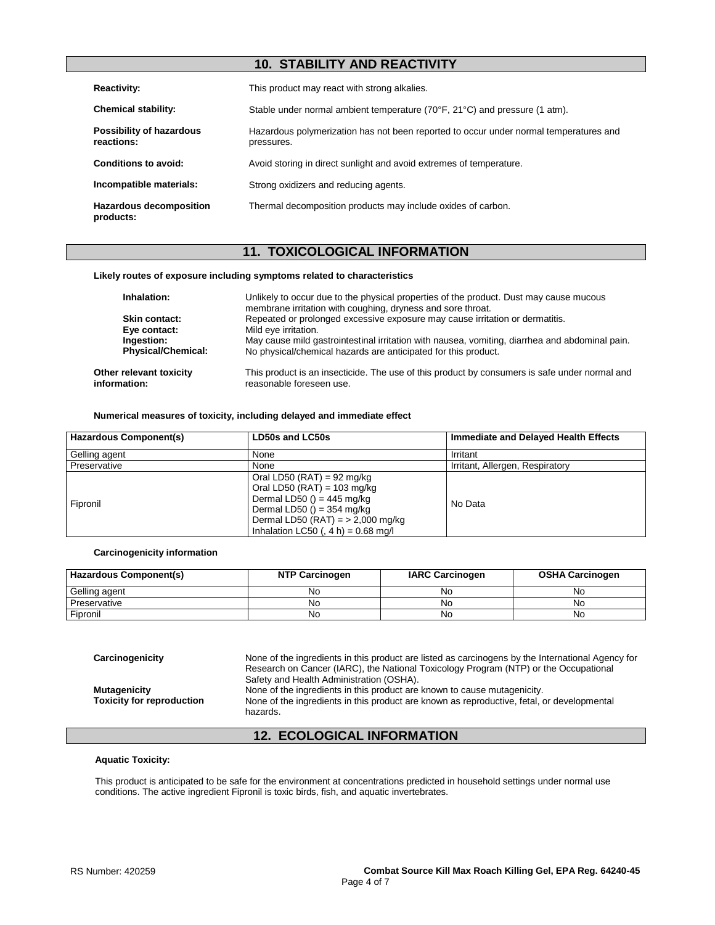# **10. STABILITY AND REACTIVITY**

| <b>Reactivity:</b>                          | This product may react with strong alkalies.                                                        |
|---------------------------------------------|-----------------------------------------------------------------------------------------------------|
| <b>Chemical stability:</b>                  | Stable under normal ambient temperature (70°F, 21°C) and pressure (1 atm).                          |
| Possibility of hazardous<br>reactions:      | Hazardous polymerization has not been reported to occur under normal temperatures and<br>pressures. |
| Conditions to avoid:                        | Avoid storing in direct sunlight and avoid extremes of temperature.                                 |
| Incompatible materials:                     | Strong oxidizers and reducing agents.                                                               |
| <b>Hazardous decomposition</b><br>products: | Thermal decomposition products may include oxides of carbon.                                        |

# **11. TOXICOLOGICAL INFORMATION**

## **Likely routes of exposure including symptoms related to characteristics**

| Inhalation:                             | Unlikely to occur due to the physical properties of the product. Dust may cause mucous<br>membrane irritation with coughing, dryness and sore throat. |
|-----------------------------------------|-------------------------------------------------------------------------------------------------------------------------------------------------------|
| <b>Skin contact:</b>                    | Repeated or prolonged excessive exposure may cause irritation or dermatitis.                                                                          |
| Eye contact:                            | Mild eye irritation.                                                                                                                                  |
| Ingestion:                              | May cause mild gastrointestinal irritation with nausea, vomiting, diarrhea and abdominal pain.                                                        |
| <b>Physical/Chemical:</b>               | No physical/chemical hazards are anticipated for this product.                                                                                        |
| Other relevant toxicity<br>information: | This product is an insecticide. The use of this product by consumers is safe under normal and<br>reasonable foreseen use.                             |

#### **Numerical measures of toxicity, including delayed and immediate effect**

| Hazardous Component(s) | LD50s and LC50s                                                                                                                                                                                                      | Immediate and Delayed Health Effects |
|------------------------|----------------------------------------------------------------------------------------------------------------------------------------------------------------------------------------------------------------------|--------------------------------------|
| Gelling agent          | None                                                                                                                                                                                                                 | Irritant                             |
| Preservative           | None                                                                                                                                                                                                                 | Irritant, Allergen, Respiratory      |
| Fipronil               | Oral LD50 (RAT) = 92 mg/kg<br>Oral LD50 (RAT) = $103 \text{ mg/kg}$<br>Dermal LD50 () = $445$ mg/kg<br>Dermal LD50 () = $354$ mg/kg<br>Dermal LD50 (RAT) = $> 2,000$ mg/kg<br>Inhalation LC50 (, $4 h$ ) = 0.68 mg/l | No Data                              |

#### **Carcinogenicity information**

| <b>Hazardous Component(s)</b> | <b>NTP Carcinogen</b> | <b>IARC Carcinogen</b> | <b>OSHA Carcinogen</b> |
|-------------------------------|-----------------------|------------------------|------------------------|
| Gelling agent                 | No                    | No                     | No                     |
| Preservative                  | Νo                    | No                     | No                     |
| Fipronil                      | No                    | No                     | No                     |

| Carcinogenicity                                         | None of the ingredients in this product are listed as carcinogens by the International Agency for<br>Research on Cancer (IARC), the National Toxicology Program (NTP) or the Occupational<br>Safety and Health Administration (OSHA). |
|---------------------------------------------------------|---------------------------------------------------------------------------------------------------------------------------------------------------------------------------------------------------------------------------------------|
| <b>Mutagenicity</b><br><b>Toxicity for reproduction</b> | None of the ingredients in this product are known to cause mutagenicity.<br>None of the ingredients in this product are known as reproductive, fetal, or developmental<br>hazards.                                                    |

# **12. ECOLOGICAL INFORMATION**

## **Aquatic Toxicity:**

This product is anticipated to be safe for the environment at concentrations predicted in household settings under normal use conditions. The active ingredient Fipronil is toxic birds, fish, and aquatic invertebrates.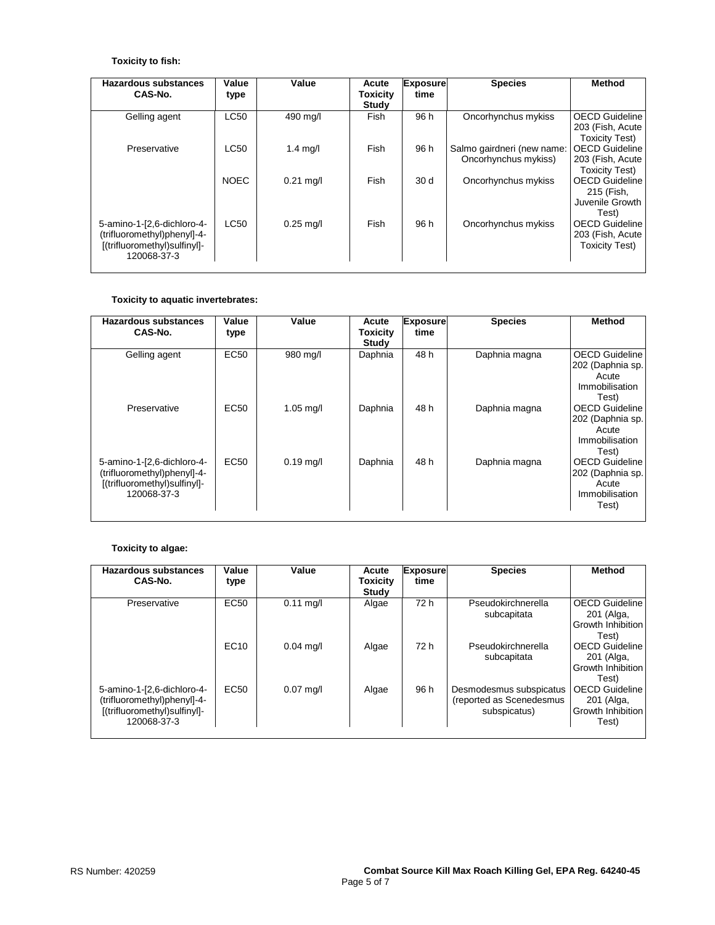## **Toxicity to fish:**

| <b>Hazardous substances</b>  | Value       | Value       | Acute             | <b>Exposure</b> | <b>Species</b>             | <b>Method</b>         |
|------------------------------|-------------|-------------|-------------------|-----------------|----------------------------|-----------------------|
| CAS-No.                      | type        |             | Toxicity<br>Study | time            |                            |                       |
| Gelling agent                | <b>LC50</b> | 490 mg/l    | Fish              | 96 h            | Oncorhynchus mykiss        | <b>OECD Guideline</b> |
|                              |             |             |                   |                 |                            | 203 (Fish, Acute      |
|                              |             |             |                   |                 |                            | <b>Toxicity Test)</b> |
| Preservative                 | LC50        | $1.4$ mg/l  | Fish              | 96 h            | Salmo gairdneri (new name: | <b>OECD</b> Guideline |
|                              |             |             |                   |                 | Oncorhynchus mykiss)       | 203 (Fish, Acute      |
|                              |             |             |                   |                 |                            | Toxicity Test)        |
|                              | <b>NOEC</b> | $0.21$ mg/l | Fish              | 30 <sub>d</sub> | Oncorhynchus mykiss        | <b>OECD</b> Guideline |
|                              |             |             |                   |                 |                            | 215 (Fish,            |
|                              |             |             |                   |                 |                            | Juvenile Growth       |
|                              |             |             |                   |                 |                            | Test)                 |
| 5-amino-1-[2,6-dichloro-4-   | <b>LC50</b> | $0.25$ mg/l | Fish              | 96 h            | Oncorhynchus mykiss        | <b>OECD Guideline</b> |
| (trifluoromethyl)phenyl]-4-  |             |             |                   |                 |                            | 203 (Fish, Acute      |
| [(trifluoromethyl)sulfinyl]- |             |             |                   |                 |                            | <b>Toxicity Test)</b> |
| 120068-37-3                  |             |             |                   |                 |                            |                       |
|                              |             |             |                   |                 |                            |                       |

# **Toxicity to aquatic invertebrates:**

| <b>Hazardous substances</b><br>CAS-No.                                                                   | Value<br>type | Value       | Acute<br><b>Toxicity</b><br>Study | <b>Exposure</b><br>time | <b>Species</b> | <b>Method</b>                                                                  |
|----------------------------------------------------------------------------------------------------------|---------------|-------------|-----------------------------------|-------------------------|----------------|--------------------------------------------------------------------------------|
| Gelling agent                                                                                            | <b>EC50</b>   | 980 mg/l    | Daphnia                           | 48 h                    | Daphnia magna  | <b>OECD Guideline</b><br>202 (Daphnia sp.<br>Acute<br>Immobilisation<br>Test)  |
| Preservative                                                                                             | <b>EC50</b>   | $1.05$ mg/l | Daphnia                           | 48 h                    | Daphnia magna  | <b>OECD Guideline</b><br>202 (Daphnia sp.<br>Acute<br>Immobilisation<br>Test)  |
| 5-amino-1-[2,6-dichloro-4-<br>(trifluoromethyl)phenyl]-4-<br>[(trifluoromethyl)sulfinyl]-<br>120068-37-3 | <b>EC50</b>   | $0.19$ mg/l | Daphnia                           | 48 h                    | Daphnia magna  | <b>OECD Guideline</b><br>202 (Daphnia sp.)<br>Acute<br>Immobilisation<br>Test) |

# **Toxicity to algae:**

| <b>Hazardous substances</b><br>CAS-No.                                                                   | Value<br>type    | Value               | Acute<br><b>Toxicity</b><br>Study | <b>Exposure</b><br>time | <b>Species</b>                                                      | <b>Method</b>                                                      |
|----------------------------------------------------------------------------------------------------------|------------------|---------------------|-----------------------------------|-------------------------|---------------------------------------------------------------------|--------------------------------------------------------------------|
| Preservative                                                                                             | EC50             | $0.11 \text{ mg/l}$ | Algae                             | 72 h                    | Pseudokirchnerella<br>subcapitata                                   | <b>OECD Guideline</b><br>201 (Alga,<br>Growth Inhibition<br>Test). |
|                                                                                                          | EC <sub>10</sub> | $0.04$ mg/l         | Algae                             | 72 h                    | Pseudokirchnerella<br>subcapitata                                   | <b>OECD Guideline</b><br>201 (Alga,<br>Growth Inhibition<br>Test)  |
| 5-amino-1-[2,6-dichloro-4-<br>(trifluoromethyl)phenyl]-4-<br>[(trifluoromethyl)sulfinyl]-<br>120068-37-3 | EC <sub>50</sub> | $0.07$ mg/l         | Algae                             | 96 h                    | Desmodesmus subspicatus<br>(reported as Scenedesmus<br>subspicatus) | <b>OECD Guideline</b><br>201 (Alga,<br>Growth Inhibition<br>Test)  |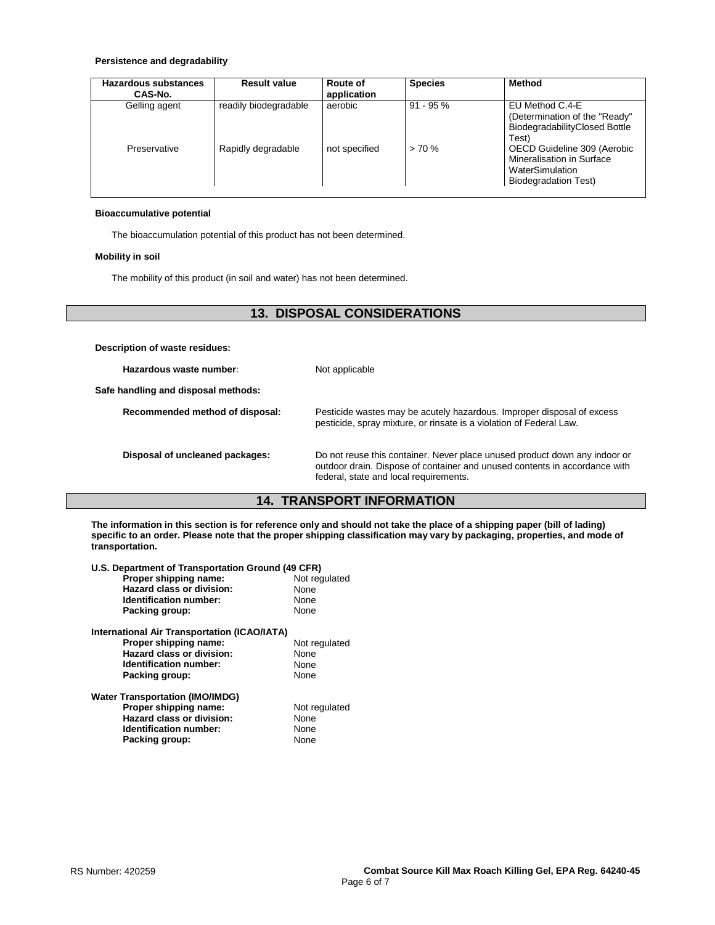#### **Persistence and degradability**

| <b>Hazardous substances</b><br>CAS-No. | <b>Result value</b>   | Route of<br>application | <b>Species</b> | <b>Method</b>                                                                                              |
|----------------------------------------|-----------------------|-------------------------|----------------|------------------------------------------------------------------------------------------------------------|
| Gelling agent                          | readily biodegradable | aerobic                 | $91 - 95 \%$   | EU Method C.4-E<br>(Determination of the "Ready"<br>BiodegradabilityClosed Bottle<br>Test)                 |
| Preservative                           | Rapidly degradable    | not specified           | > 70%          | OECD Guideline 309 (Aerobic<br>Mineralisation in Surface<br>WaterSimulation<br><b>Biodegradation Test)</b> |

#### **Bioaccumulative potential**

The bioaccumulation potential of this product has not been determined.

#### **Mobility in soil**

The mobility of this product (in soil and water) has not been determined.

# **13. DISPOSAL CONSIDERATIONS**

**Description of waste residues:**

| Hazardous waste number:             | Not applicable                                                                                                                                                                                     |
|-------------------------------------|----------------------------------------------------------------------------------------------------------------------------------------------------------------------------------------------------|
| Safe handling and disposal methods: |                                                                                                                                                                                                    |
| Recommended method of disposal:     | Pesticide wastes may be acutely hazardous. Improper disposal of excess<br>pesticide, spray mixture, or rinsate is a violation of Federal Law.                                                      |
| Disposal of uncleaned packages:     | Do not reuse this container. Never place unused product down any indoor or<br>outdoor drain. Dispose of container and unused contents in accordance with<br>federal, state and local requirements. |

# **14. TRANSPORT INFORMATION**

**The information in this section is for reference only and should not take the place of a shipping paper (bill of lading) specific to an order. Please note that the proper shipping classification may vary by packaging, properties, and mode of transportation.**

| U.S. Department of Transportation Ground (49 CFR) |               |
|---------------------------------------------------|---------------|
| Proper shipping name:                             | Not regulated |
| Hazard class or division:                         | <b>None</b>   |
| Identification number:                            | None          |
| Packing group:                                    | None          |
| International Air Transportation (ICAO/IATA)      |               |
| Proper shipping name:                             | Not regulated |
| Hazard class or division:                         | <b>None</b>   |
| Identification number:                            | None          |
| Packing group:                                    | None          |
| <b>Water Transportation (IMO/IMDG)</b>            |               |
| Proper shipping name:                             | Not regulated |
| Hazard class or division:                         | None          |
| Identification number:                            | None          |
| Packing group:                                    | None          |